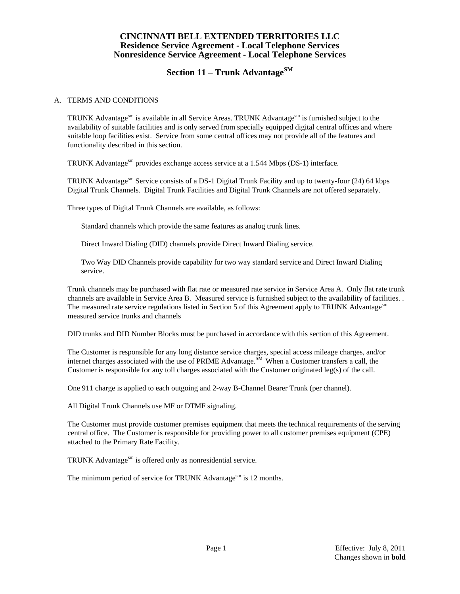## **CINCINNATI BELL EXTENDED TERRITORIES LLC Residence Service Agreement - Local Telephone Services Nonresidence Service Agreement - Local Telephone Services**

# **Section 11 – Trunk AdvantageSM**

#### A. TERMS AND CONDITIONS

TRUNK Advantage $\epsilon^{sm}$  is available in all Service Areas. TRUNK Advantage $\epsilon^{sm}$  is furnished subject to the availability of suitable facilities and is only served from specially equipped digital central offices and where suitable loop facilities exist. Service from some central offices may not provide all of the features and functionality described in this section.

TRUNK Advantage<sup>sm</sup> provides exchange access service at a 1.544 Mbps (DS-1) interface.

TRUNK Advantage<sup>sm</sup> Service consists of a DS-1 Digital Trunk Facility and up to twenty-four (24) 64 kbps Digital Trunk Channels. Digital Trunk Facilities and Digital Trunk Channels are not offered separately.

Three types of Digital Trunk Channels are available, as follows:

Standard channels which provide the same features as analog trunk lines.

Direct Inward Dialing (DID) channels provide Direct Inward Dialing service.

 Two Way DID Channels provide capability for two way standard service and Direct Inward Dialing service.

 Trunk channels may be purchased with flat rate or measured rate service in Service Area A. Only flat rate trunk channels are available in Service Area B. Measured service is furnished subject to the availability of facilities. . The measured rate service regulations listed in Section 5 of this Agreement apply to TRUNK Advantage<sup>sm</sup> measured service trunks and channels

DID trunks and DID Number Blocks must be purchased in accordance with this section of this Agreement.

 The Customer is responsible for any long distance service charges, special access mileage charges, and/or internet charges associated with the use of PRIME Advantage.  $\frac{SM}{M}$  When a Customer transfers a call, the Customer is responsible for any toll charges associated with the Customer originated leg(s) of the call.

One 911 charge is applied to each outgoing and 2-way B-Channel Bearer Trunk (per channel).

All Digital Trunk Channels use MF or DTMF signaling.

 The Customer must provide customer premises equipment that meets the technical requirements of the serving central office. The Customer is responsible for providing power to all customer premises equipment (CPE) attached to the Primary Rate Facility.

TRUNK Advantage<sup>sm</sup> is offered only as nonresidential service.

The minimum period of service for TRUNK Advantage<sup>sm</sup> is 12 months.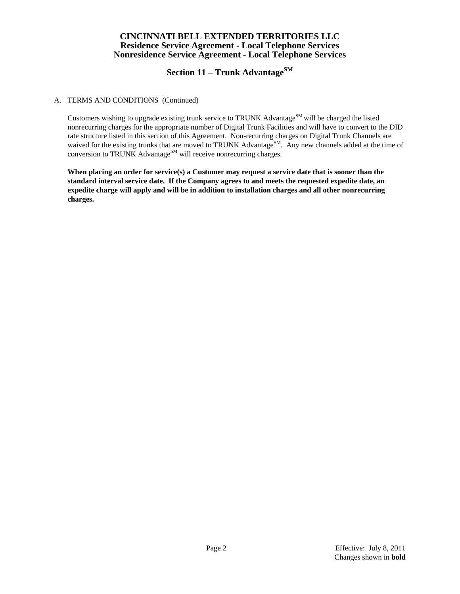# **CINCINNATI BELL EXTENDED TERRITORIES LLC Residence Service Agreement - Local Telephone Services Nonresidence Service Agreement - Local Telephone Services**

# **Section 11 – Trunk AdvantageSM**

#### A. TERMS AND CONDITIONS (Continued)

Customers wishing to upgrade existing trunk service to TRUNK Advantage<sup>SM</sup> will be charged the listed nonrecurring charges for the appropriate number of Digital Trunk Facilities and will have to convert to the DID rate structure listed in this section of this Agreement. Non-recurring charges on Digital Trunk Channels are waived for the existing trunks that are moved to TRUNK Advantage<sup>SM</sup>. Any new channels added at the time of conversion to TRUNK Advantage<sup>SM</sup> will receive nonrecurring charges.

 **When placing an order for service(s) a Customer may request a service date that is sooner than the standard interval service date. If the Company agrees to and meets the requested expedite date, an expedite charge will apply and will be in addition to installation charges and all other nonrecurring charges.**